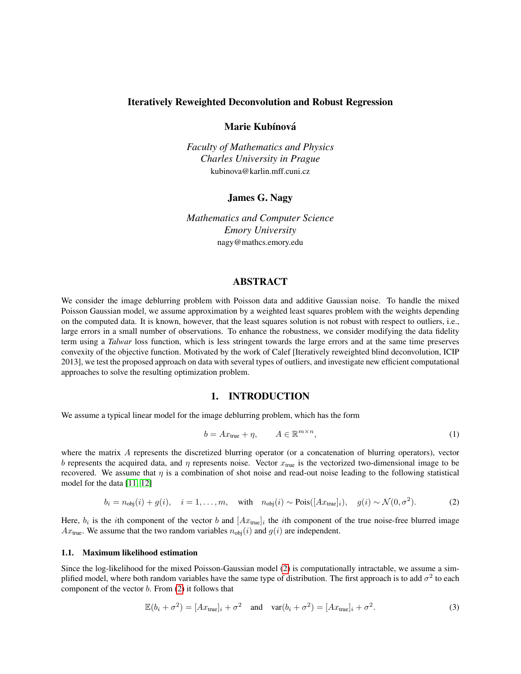#### Iteratively Reweighted Deconvolution and Robust Regression

Marie Kubínová

*Faculty of Mathematics and Physics Charles University in Prague* kubinova@karlin.mff.cuni.cz

James G. Nagy

*Mathematics and Computer Science Emory University* nagy@mathcs.emory.edu

# ABSTRACT

We consider the image deblurring problem with Poisson data and additive Gaussian noise. To handle the mixed Poisson Gaussian model, we assume approximation by a weighted least squares problem with the weights depending on the computed data. It is known, however, that the least squares solution is not robust with respect to outliers, i.e., large errors in a small number of observations. To enhance the robustness, we consider modifying the data fidelity term using a *Talwar* loss function, which is less stringent towards the large errors and at the same time preserves convexity of the objective function. Motivated by the work of Calef [Iteratively reweighted blind deconvolution, ICIP 2013], we test the proposed approach on data with several types of outliers, and investigate new efficient computational approaches to solve the resulting optimization problem.

## 1. INTRODUCTION

We assume a typical linear model for the image deblurring problem, which has the form

<span id="page-0-1"></span>
$$
b = Ax_{\text{true}} + \eta, \qquad A \in \mathbb{R}^{m \times n}, \tag{1}
$$

where the matrix A represents the discretized blurring operator (or a concatenation of blurring operators), vector b represents the acquired data, and  $\eta$  represents noise. Vector  $x_{true}$  is the vectorized two-dimensional image to be recovered. We assume that  $\eta$  is a combination of shot noise and read-out noise leading to the following statistical model for the data [\[11,](#page-6-0) [12\]](#page-6-1)

<span id="page-0-0"></span>
$$
b_i = n_{\text{obj}}(i) + g(i), \quad i = 1, \dots, m, \quad \text{with} \quad n_{\text{obj}}(i) \sim \text{Pois}([Ax_{\text{true}}]_i), \quad g(i) \sim \mathcal{N}(0, \sigma^2). \tag{2}
$$

Here,  $b_i$  is the *i*th component of the vector b and  $[Ax_{true}]_i$  the *i*th component of the true noise-free blurred image  $Ax_{true}$ . We assume that the two random variables  $n_{obj}(i)$  and  $g(i)$  are independent.

#### 1.1. Maximum likelihood estimation

Since the log-likelihood for the mixed Poisson-Gaussian model [\(2\)](#page-0-0) is computationally intractable, we assume a simplified model, where both random variables have the same type of distribution. The first approach is to add  $\sigma^2$  to each component of the vector  $b$ . From  $(2)$  it follows that

$$
\mathbb{E}(b_i + \sigma^2) = [Ax_{\text{true}}]_i + \sigma^2 \quad \text{and} \quad \text{var}(b_i + \sigma^2) = [Ax_{\text{true}}]_i + \sigma^2. \tag{3}
$$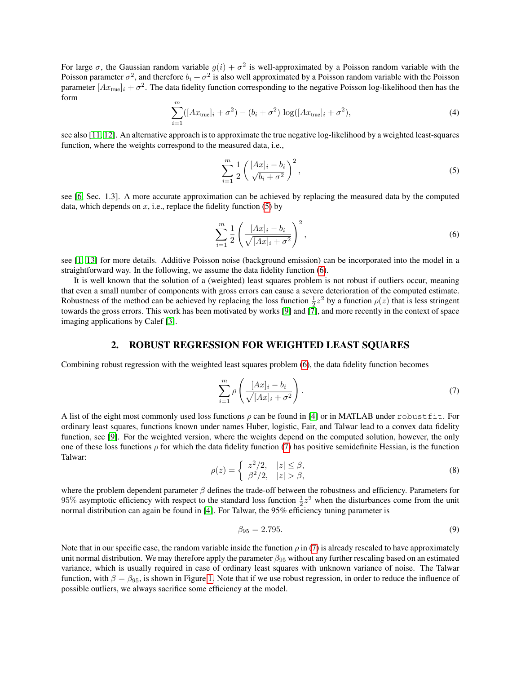For large  $\sigma$ , the Gaussian random variable  $g(i) + \sigma^2$  is well-approximated by a Poisson random variable with the Poisson parameter  $\sigma^2$ , and therefore  $b_i + \sigma^2$  is also well approximated by a Poisson random variable with the Poisson parameter  $[Ax_{\text{true}}]_i + \sigma^2$ . The data fidelity function corresponding to the negative Poisson log-likelihood then has the form

<span id="page-1-3"></span>
$$
\sum_{i=1}^{m} ([Ax_{\text{true}}]_i + \sigma^2) - (b_i + \sigma^2) \log([Ax_{\text{true}}]_i + \sigma^2), \tag{4}
$$

see also [\[11,](#page-6-0) [12\]](#page-6-1). An alternative approach is to approximate the true negative log-likelihood by a weighted least-squares function, where the weights correspond to the measured data, i.e.,

<span id="page-1-0"></span>
$$
\sum_{i=1}^{m} \frac{1}{2} \left( \frac{[Ax]_i - b_i}{\sqrt{b_i + \sigma^2}} \right)^2,
$$
\n<sup>(5)</sup>

see [\[6,](#page-6-2) Sec. 1.3]. A more accurate approximation can be achieved by replacing the measured data by the computed data, which depends on  $x$ , i.e., replace the fidelity function [\(5\)](#page-1-0) by

<span id="page-1-1"></span>
$$
\sum_{i=1}^{m} \frac{1}{2} \left( \frac{[Ax]_i - b_i}{\sqrt{[Ax]_i + \sigma^2}} \right)^2,
$$
\n(6)

see [\[1,](#page-6-3) [13\]](#page-6-4) for more details. Additive Poisson noise (background emission) can be incorporated into the model in a straightforward way. In the following, we assume the data fidelity function [\(6\)](#page-1-1).

It is well known that the solution of a (weighted) least squares problem is not robust if outliers occur, meaning that even a small number of components with gross errors can cause a severe deterioration of the computed estimate. Robustness of the method can be achieved by replacing the loss function  $\frac{1}{2}z^2$  by a function  $\rho(z)$  that is less stringent towards the gross errors. This work has been motivated by works [\[9\]](#page-6-5) and [\[7\]](#page-6-6), and more recently in the context of space imaging applications by Calef [\[3\]](#page-6-7).

# 2. ROBUST REGRESSION FOR WEIGHTED LEAST SQUARES

Combining robust regression with the weighted least squares problem [\(6\)](#page-1-1), the data fidelity function becomes

<span id="page-1-2"></span>
$$
\sum_{i=1}^{m} \rho \left( \frac{[Ax]_i - b_i}{\sqrt{[Ax]_i + \sigma^2}} \right). \tag{7}
$$

A list of the eight most commonly used loss functions  $\rho$  can be found in [\[4\]](#page-6-8) or in MATLAB under robustfit. For ordinary least squares, functions known under names Huber, logistic, Fair, and Talwar lead to a convex data fidelity function, see [\[9\]](#page-6-5). For the weighted version, where the weights depend on the computed solution, however, the only one of these loss functions  $\rho$  for which the data fidelity function [\(7\)](#page-1-2) has positive semidefinite Hessian, is the function Talwar:

$$
\rho(z) = \begin{cases} z^2/2, & |z| \le \beta, \\ \beta^2/2, & |z| > \beta, \end{cases} \tag{8}
$$

where the problem dependent parameter  $\beta$  defines the trade-off between the robustness and efficiency. Parameters for 95% asymptotic efficiency with respect to the standard loss function  $\frac{1}{2}z^2$  when the disturbances come from the unit normal distribution can again be found in [\[4\]](#page-6-8). For Talwar, the 95% efficiency tuning parameter is

<span id="page-1-4"></span>
$$
\beta_{95} = 2.795. \tag{9}
$$

Note that in our specific case, the random variable inside the function  $\rho$  in [\(7\)](#page-1-2) is already rescaled to have approximately unit normal distribution. We may therefore apply the parameter  $\beta_{95}$  without any further rescaling based on an estimated variance, which is usually required in case of ordinary least squares with unknown variance of noise. The Talwar function, with  $\beta = \beta_{95}$ , is shown in Figure [1.](#page-2-0) Note that if we use robust regression, in order to reduce the influence of possible outliers, we always sacrifice some efficiency at the model.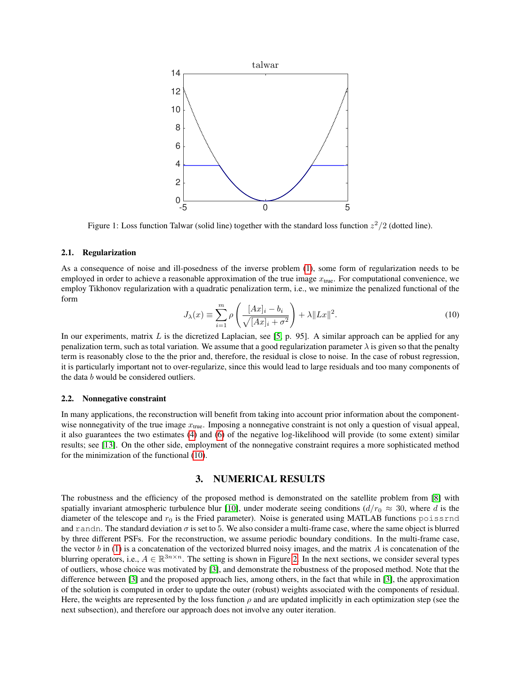<span id="page-2-0"></span>

Figure 1: Loss function Talwar (solid line) together with the standard loss function  $z^2/2$  (dotted line).

#### 2.1. Regularization

As a consequence of noise and ill-posedness of the inverse problem [\(1\)](#page-0-1), some form of regularization needs to be employed in order to achieve a reasonable approximation of the true image  $x_{true}$ . For computational convenience, we employ Tikhonov regularization with a quadratic penalization term, i.e., we minimize the penalized functional of the form

<span id="page-2-1"></span>
$$
J_{\lambda}(x) \equiv \sum_{i=1}^{m} \rho \left( \frac{[Ax]_i - b_i}{\sqrt{[Ax]_i + \sigma^2}} \right) + \lambda \|Lx\|^2.
$$
 (10)

In our experiments, matrix  $L$  is the dicretized Laplacian, see [\[5,](#page-6-9) p. 95]. A similar approach can be applied for any penalization term, such as total variation. We assume that a good regularization parameter  $\lambda$  is given so that the penalty term is reasonably close to the the prior and, therefore, the residual is close to noise. In the case of robust regression, it is particularly important not to over-regularize, since this would lead to large residuals and too many components of the data b would be considered outliers.

#### 2.2. Nonnegative constraint

In many applications, the reconstruction will benefit from taking into account prior information about the componentwise nonnegativity of the true image  $x_{true}$ . Imposing a nonnegative constraint is not only a question of visual appeal, it also guarantees the two estimates [\(4\)](#page-1-3) and [\(6\)](#page-1-1) of the negative log-likelihood will provide (to some extent) similar results; see [\[13\]](#page-6-4). On the other side, employment of the nonnegative constraint requires a more sophisticated method for the minimization of the functional [\(10\)](#page-2-1).

# 3. NUMERICAL RESULTS

The robustness and the efficiency of the proposed method is demonstrated on the satellite problem from [\[8\]](#page-6-10) with spatially invariant atmospheric turbulence blur [\[10\]](#page-6-11), under moderate seeing conditions  $(d/r_0 \approx 30$ , where d is the diameter of the telescope and  $r_0$  is the Fried parameter). Noise is generated using MATLAB functions poissrnd and randn. The standard deviation  $\sigma$  is set to 5. We also consider a multi-frame case, where the same object is blurred by three different PSFs. For the reconstruction, we assume periodic boundary conditions. In the multi-frame case, the vector b in [\(1\)](#page-0-1) is a concatenation of the vectorized blurred noisy images, and the matrix A is concatenation of the blurring operators, i.e.,  $A \in \mathbb{R}^{3n \times n}$ . The setting is shown in Figure [2.](#page-3-0) In the next sections, we consider several types of outliers, whose choice was motivated by [\[3\]](#page-6-7), and demonstrate the robustness of the proposed method. Note that the difference between [\[3\]](#page-6-7) and the proposed approach lies, among others, in the fact that while in [\[3\]](#page-6-7), the approximation of the solution is computed in order to update the outer (robust) weights associated with the components of residual. Here, the weights are represented by the loss function  $\rho$  and are updated implicitly in each optimization step (see the next subsection), and therefore our approach does not involve any outer iteration.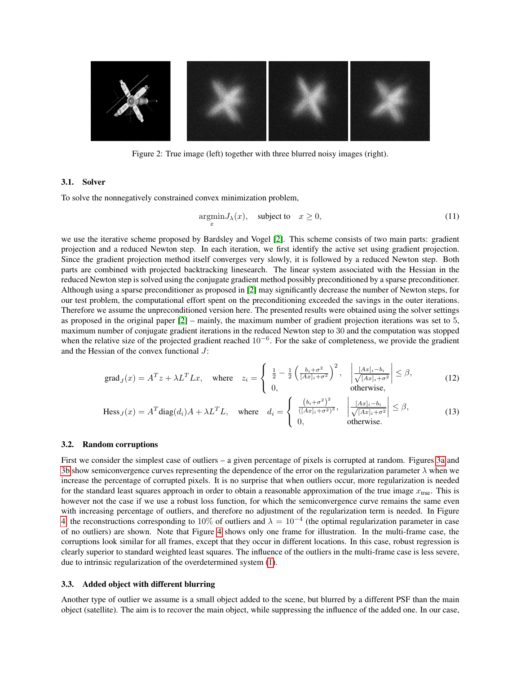<span id="page-3-0"></span>

Figure 2: True image (left) together with three blurred noisy images (right).

## 3.1. Solver

To solve the nonnegatively constrained convex minimization problem,

<span id="page-3-2"></span><span id="page-3-1"></span>
$$
\underset{x}{\operatorname{argmin}} J_{\lambda}(x), \quad \text{subject to} \quad x \ge 0,
$$
\n<sup>(11)</sup>

we use the iterative scheme proposed by Bardsley and Vogel [\[2\]](#page-6-12). This scheme consists of two main parts: gradient projection and a reduced Newton step. In each iteration, we first identify the active set using gradient projection. Since the gradient projection method itself converges very slowly, it is followed by a reduced Newton step. Both parts are combined with projected backtracking linesearch. The linear system associated with the Hessian in the reduced Newton step is solved using the conjugate gradient method possibly preconditioned by a sparse preconditioner. Although using a sparse preconditioner as proposed in [\[2\]](#page-6-12) may significantly decrease the number of Newton steps, for our test problem, the computational effort spent on the preconditioning exceeded the savings in the outer iterations. Therefore we assume the unpreconditioned version here. The presented results were obtained using the solver settings as proposed in the original paper [\[2\]](#page-6-12) – mainly, the maximum number of gradient projection iterations was set to 5, maximum number of conjugate gradient iterations in the reduced Newton step to 30 and the computation was stopped when the relative size of the projected gradient reached  $10^{-6}$ . For the sake of completeness, we provide the gradient and the Hessian of the convex functional J:

$$
\text{grad}_J(x) = A^T z + \lambda L^T L x, \quad \text{where} \quad z_i = \begin{cases} \frac{1}{2} - \frac{1}{2} \left( \frac{b_i + \sigma^2}{[Ax]_i + \sigma^2} \right)^2, & \left| \frac{[Ax]_i - b_i}{\sqrt{[Ax]_i + \sigma^2}} \right| \le \beta, \\ 0, & \text{otherwise,} \end{cases}
$$
(12)

$$
\text{Hess}_J(x) = A^T \text{diag}(d_i) A + \lambda L^T L, \quad \text{where} \quad d_i = \begin{cases} \frac{(b_i + \sigma^2)^2}{([Ax]_i + \sigma^2)^3}, & \left| \frac{[Ax]_i - b_i}{\sqrt{[Ax]_i + \sigma^2}} \right| \le \beta, \\ 0, & \text{otherwise.} \end{cases} \tag{13}
$$

#### 3.2. Random corruptions

First we consider the simplest case of outliers – a given percentage of pixels is corrupted at random. Figures [3a](#page-4-0) and [3b](#page-4-0) show semiconvergence curves representing the dependence of the error on the regularization parameter  $\lambda$  when we increase the percentage of corrupted pixels. It is no surprise that when outliers occur, more regularization is needed for the standard least squares approach in order to obtain a reasonable approximation of the true image  $x_{true}$ . This is however not the case if we use a robust loss function, for which the semiconvergence curve remains the same even with increasing percentage of outliers, and therefore no adjustment of the regularization term is needed. In Figure [4,](#page-4-1) the reconstructions corresponding to 10% of outliers and  $\lambda = 10^{-4}$  (the optimal regularization parameter in case of no outliers) are shown. Note that Figure [4](#page-4-1) shows only one frame for illustration. In the multi-frame case, the corruptions look similar for all frames, except that they occur in different locations. In this case, robust regression is clearly superior to standard weighted least squares. The influence of the outliers in the multi-frame case is less severe, due to intrinsic regularization of the overdetermined system [\(1\)](#page-0-1).

## 3.3. Added object with different blurring

Another type of outlier we assume is a small object added to the scene, but blurred by a different PSF than the main object (satellite). The aim is to recover the main object, while suppressing the influence of the added one. In our case,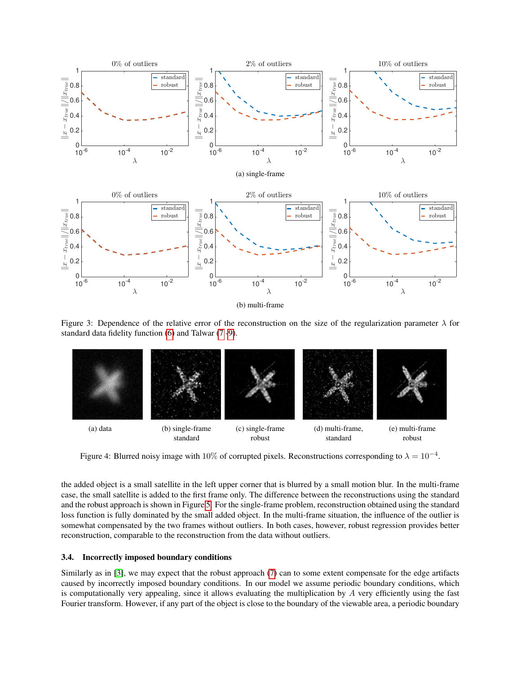<span id="page-4-0"></span>

Figure 3: Dependence of the relative error of the reconstruction on the size of the regularization parameter  $\lambda$  for standard data fidelity function [\(6\)](#page-1-1) and Talwar [\(7](#page-1-2) [-9\)](#page-1-4).

<span id="page-4-1"></span>

Figure 4: Blurred noisy image with 10% of corrupted pixels. Reconstructions corresponding to  $\lambda = 10^{-4}$ .

the added object is a small satellite in the left upper corner that is blurred by a small motion blur. In the multi-frame case, the small satellite is added to the first frame only. The difference between the reconstructions using the standard and the robust approach is shown in Figure [5.](#page-5-0) For the single-frame problem, reconstruction obtained using the standard loss function is fully dominated by the small added object. In the multi-frame situation, the influence of the outlier is somewhat compensated by the two frames without outliers. In both cases, however, robust regression provides better reconstruction, comparable to the reconstruction from the data without outliers.

#### 3.4. Incorrectly imposed boundary conditions

Similarly as in [\[3\]](#page-6-7), we may expect that the robust approach [\(7\)](#page-1-2) can to some extent compensate for the edge artifacts caused by incorrectly imposed boundary conditions. In our model we assume periodic boundary conditions, which is computationally very appealing, since it allows evaluating the multiplication by  $A$  very efficiently using the fast Fourier transform. However, if any part of the object is close to the boundary of the viewable area, a periodic boundary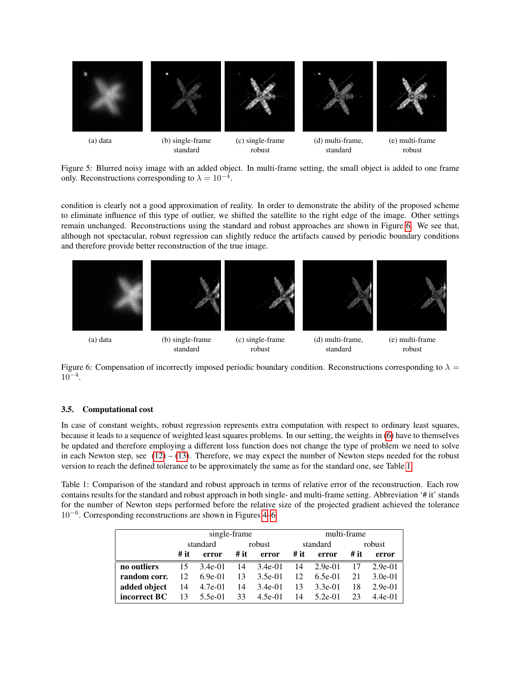<span id="page-5-0"></span>

Figure 5: Blurred noisy image with an added object. In multi-frame setting, the small object is added to one frame only. Reconstructions corresponding to  $\lambda = 10^{-4}$ .

condition is clearly not a good approximation of reality. In order to demonstrate the ability of the proposed scheme to eliminate influence of this type of outlier, we shifted the satellite to the right edge of the image. Other settings remain unchanged. Reconstructions using the standard and robust approaches are shown in Figure [6.](#page-5-1) We see that, although not spectacular, robust regression can slightly reduce the artifacts caused by periodic boundary conditions and therefore provide better reconstruction of the true image.

<span id="page-5-1"></span>

Figure 6: Compensation of incorrectly imposed periodic boundary condition. Reconstructions corresponding to  $\lambda =$  $10^{-4}$ .

#### 3.5. Computational cost

In case of constant weights, robust regression represents extra computation with respect to ordinary least squares, because it leads to a sequence of weighted least squares problems. In our setting, the weights in [\(6\)](#page-1-1) have to themselves be updated and therefore employing a different loss function does not change the type of problem we need to solve in each Newton step, see  $(12) - (13)$  $(12) - (13)$  $(12) - (13)$ . Therefore, we may expect the number of Newton steps needed for the robust version to reach the defined tolerance to be approximately the same as for the standard one, see Table [1.](#page-5-2)

<span id="page-5-2"></span>Table 1: Comparison of the standard and robust approach in terms of relative error of the reconstruction. Each row contains results for the standard and robust approach in both single- and multi-frame setting. Abbreviation '# it' stands for the number of Newton steps performed before the relative size of the projected gradient achieved the tolerance 10<sup>−</sup><sup>6</sup> . Corresponding reconstructions are shown in Figures [4–](#page-4-1)[6.](#page-5-1)

|              | single-frame |            |        |            | multi-frame |             |        |           |
|--------------|--------------|------------|--------|------------|-------------|-------------|--------|-----------|
|              | standard     |            | robust |            | standard    |             | robust |           |
|              | # it         | error      | # it   | error      |             | $#it$ error | # it   | error     |
| no outliers  |              | 15 3.4e-01 |        | 14 3.4e-01 |             | 14 2.9e-01  | 17     | $2.9e-01$ |
| random corr. | 12.          | $6.9e-01$  |        | 13 3.5e-01 | 12          | $6.5e-01$   | 21     | $3.0e-01$ |
| added object | 14           | 4.7e-01    |        | 14 3.4e-01 | 13          | $3.3e-01$   | 18     | $2.9e-01$ |
| incorrect BC | -13          | 5.5e-01    | 33     | 4.5e-01    | 14          | $5.2e-01$   | 23     | $4.4e-01$ |